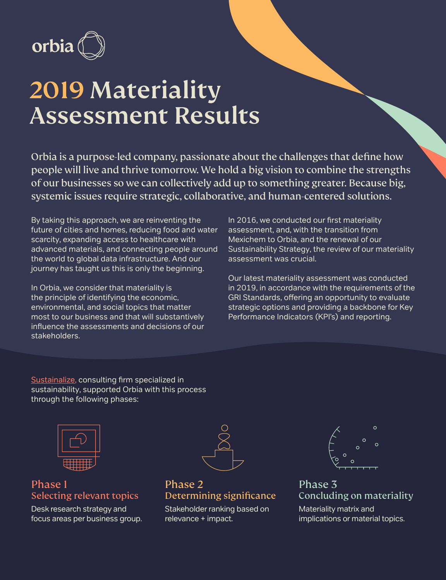

# 2019 Materiality Assessment Results

Orbia is a purpose-led company, passionate about the challenges that define how people will live and thrive tomorrow. We hold a big vision to combine the strengths of our businesses so we can collectively add up to something greater. Because big, systemic issues require strategic, collaborative, and human-centered solutions.

By taking this approach, we are reinventing the future of cities and homes, reducing food and water scarcity, expanding access to healthcare with advanced materials, and connecting people around the world to global data infrastructure. And our journey has taught us this is only the beginning.

In Orbia, we consider that materiality is the principle of identifying the economic, environmental, and social topics that matter most to our business and that will substantively influence the assessments and decisions of our stakeholders.

In 2016, we conducted our first materiality assessment, and, with the transition from Mexichem to Orbia, and the renewal of our Sustainability Strategy, the review of our materiality assessment was crucial.

Our latest materiality assessment was conducted in 2019, in accordance with the requirements of the GRI Standards, offering an opportunity to evaluate strategic options and providing a backbone for Key Performance Indicators (KPI's) and reporting.

[Sustainalize](https://www.sustainalize.com), consulting firm specialized in sustainability, supported Orbia with this process through the following phases:



### Phase 1 Selecting relevant topics

Desk research strategy and focus areas per business group.



Phase 2 Determining significance

Stakeholder ranking based on relevance + impact.



Phase 3 Concluding on materiality

Materiality matrix and implications or material topics.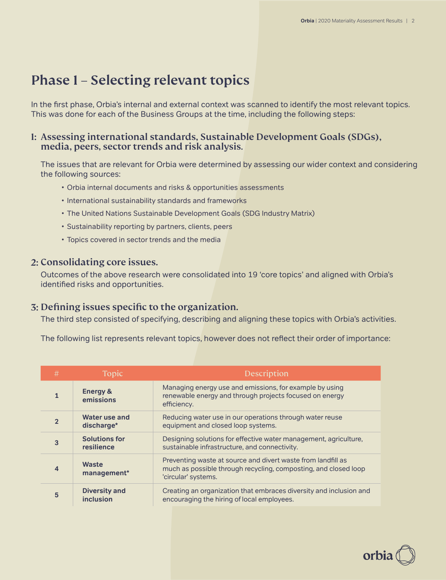# Phase 1 – Selecting relevant topics

In the first phase, Orbia's internal and external context was scanned to identify the most relevant topics. This was done for each of the Business Groups at the time, including the following steps:

#### 1: Assessing international standards, Sustainable Development Goals (SDGs), media, peers, sector trends and risk analysis.

The issues that are relevant for Orbia were determined by assessing our wider context and considering the following sources:

- Orbia internal documents and risks & opportunities assessments
- International sustainability standards and frameworks
- The United Nations Sustainable Development Goals (SDG Industry Matrix)
- Sustainability reporting by partners, clients, peers
- Topics covered in sector trends and the media

#### 2: Consolidating core issues.

Outcomes of the above research were consolidated into 19 'core topics' and aligned with Orbia's identified risks and opportunities.

### 3: Defining issues specific to the organization.

The third step consisted of specifying, describing and aligning these topics with Orbia's activities.

The following list represents relevant topics, however does not reflect their order of importance:

| #              | Topic                              | Description                                                                                                                                            |
|----------------|------------------------------------|--------------------------------------------------------------------------------------------------------------------------------------------------------|
| 1              | <b>Energy &amp;</b><br>emissions   | Managing energy use and emissions, for example by using<br>renewable energy and through projects focused on energy<br>efficiency.                      |
| $\overline{2}$ | Water use and<br>discharge*        | Reducing water use in our operations through water reuse<br>equipment and closed loop systems.                                                         |
| 3              | <b>Solutions for</b><br>resilience | Designing solutions for effective water management, agriculture,<br>sustainable infrastructure, and connectivity.                                      |
| 4              | Waste<br>management*               | Preventing waste at source and divert waste from landfill as<br>much as possible through recycling, composting, and closed loop<br>'circular' systems. |
| 5              | <b>Diversity and</b><br>inclusion  | Creating an organization that embraces diversity and inclusion and<br>encouraging the hiring of local employees.                                       |

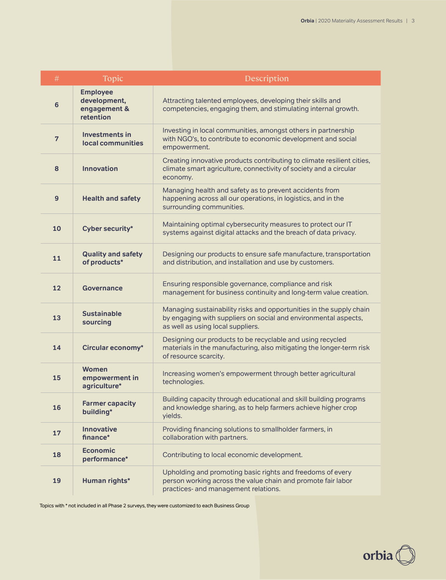| $\#$           | Topic                                                        | Description                                                                                                                                                                 |
|----------------|--------------------------------------------------------------|-----------------------------------------------------------------------------------------------------------------------------------------------------------------------------|
| $6\phantom{a}$ | <b>Employee</b><br>development,<br>engagement &<br>retention | Attracting talented employees, developing their skills and<br>competencies, engaging them, and stimulating internal growth.                                                 |
| $\overline{7}$ | <b>Investments in</b><br>local communities                   | Investing in local communities, amongst others in partnership<br>with NGO's, to contribute to economic development and social<br>empowerment.                               |
| 8              | <b>Innovation</b>                                            | Creating innovative products contributing to climate resilient cities,<br>climate smart agriculture, connectivity of society and a circular<br>economy.                     |
| 9              | <b>Health and safety</b>                                     | Managing health and safety as to prevent accidents from<br>happening across all our operations, in logistics, and in the<br>surrounding communities.                        |
| 10             | Cyber security*                                              | Maintaining optimal cybersecurity measures to protect our IT<br>systems against digital attacks and the breach of data privacy.                                             |
| 11             | <b>Quality and safety</b><br>of products*                    | Designing our products to ensure safe manufacture, transportation<br>and distribution, and installation and use by customers.                                               |
| 12             | Governance                                                   | Ensuring responsible governance, compliance and risk<br>management for business continuity and long-term value creation.                                                    |
| 13             | <b>Sustainable</b><br>sourcing                               | Managing sustainability risks and opportunities in the supply chain<br>by engaging with suppliers on social and environmental aspects,<br>as well as using local suppliers. |
| 14             | Circular economy*                                            | Designing our products to be recyclable and using recycled<br>materials in the manufacturing, also mitigating the longer-term risk<br>of resource scarcity.                 |
| 15             | Women<br>empowerment in<br>agriculture*                      | Increasing women's empowerment through better agricultural<br>technologies.                                                                                                 |
| 16             | <b>Farmer capacity</b><br>building*                          | Building capacity through educational and skill building programs<br>and knowledge sharing, as to help farmers achieve higher crop<br>yields.                               |
| 17             | <b>Innovative</b><br>finance*                                | Providing financing solutions to smallholder farmers, in<br>collaboration with partners.                                                                                    |
| 18             | <b>Economic</b><br>performance*                              | Contributing to local economic development.                                                                                                                                 |
| 19             | Human rights*                                                | Upholding and promoting basic rights and freedoms of every<br>person working across the value chain and promote fair labor<br>practices- and management relations.          |

Topics with \* not included in all Phase 2 surveys, they were customized to each Business Group

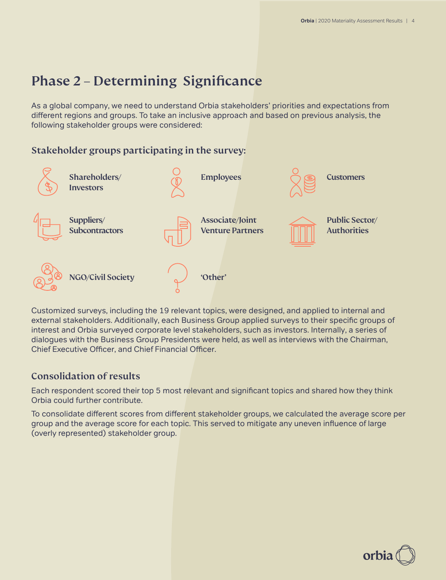# Phase 2 – Determining Significance

As a global company, we need to understand Orbia stakeholders' priorities and expectations from different regions and groups. To take an inclusive approach and based on previous analysis, the following stakeholder groups were considered:

### Stakeholder groups participating in the survey:



Customized surveys, including the 19 relevant topics, were designed, and applied to internal and external stakeholders. Additionally, each Business Group applied surveys to their specific groups of interest and Orbia surveyed corporate level stakeholders, such as investors. Internally, a series of dialogues with the Business Group Presidents were held, as well as interviews with the Chairman, Chief Executive Officer, and Chief Financial Officer.

### Consolidation of results

Each respondent scored their top 5 most relevant and significant topics and shared how they think Orbia could further contribute.

To consolidate different scores from different stakeholder groups, we calculated the average score per group and the average score for each topic. This served to mitigate any uneven influence of large (overly represented) stakeholder group.

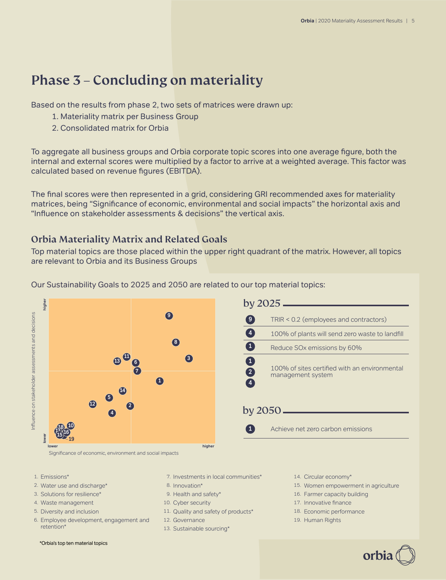# Phase 3 – Concluding on materiality

Based on the results from phase 2, two sets of matrices were drawn up:

- 1. Materiality matrix per Business Group
- 2. Consolidated matrix for Orbia

To aggregate all business groups and Orbia corporate topic scores into one average figure, both the internal and external scores were multiplied by a factor to arrive at a weighted average. This factor was calculated based on revenue figures (EBITDA).

The final scores were then represented in a grid, considering GRI recommended axes for materiality matrices, being "Significance of economic, environmental and social impacts" the horizontal axis and "Influence on stakeholder assessments & decisions" the vertical axis.

## Orbia Materiality Matrix and Related Goals

Top material topics are those placed within the upper right quadrant of the matrix. However, all topics are relevant to Orbia and its Business Groups



Our Sustainability Goals to 2025 and 2050 are related to our top material topics:

| by 2025        |                                                                    |  |  |
|----------------|--------------------------------------------------------------------|--|--|
| 9              | TRIR < 0.2 (employees and contractors)                             |  |  |
| $\overline{4}$ | 100% of plants will send zero waste to landfill                    |  |  |
| $\mathbf{1}$   | Reduce SO <sub>x</sub> emissions by 60%                            |  |  |
| 1<br>2<br>4    | 100% of sites certified with an environmental<br>management system |  |  |
| by 2050        |                                                                    |  |  |
|                | Achieve net zero carbon emissions                                  |  |  |

Significance of economic, environment and social impacts

- Emissions\* 1.
- 2. Water use and discharge\*
- 3. Solutions for resilience\*
- 4. Waste management
- 5. Diversity and inclusion
- 6. Employee development, engagement and retention\*
- 7. Investments in local communities\*
- 8. Innovation\*
- 9. Health and safety\*
- 10. Cyber security
- 11. Quality and safety of products\*
- 12. Governance
- 13. Sustainable sourcing\*
- 14. Circular economy\*
- 15. Women empowerment in agriculture

orbi

- 16. Farmer capacity building
- 17. Innovative finance
- 18. Economic performance
- 19. Human Rights

\*Orbia's top ten material topics